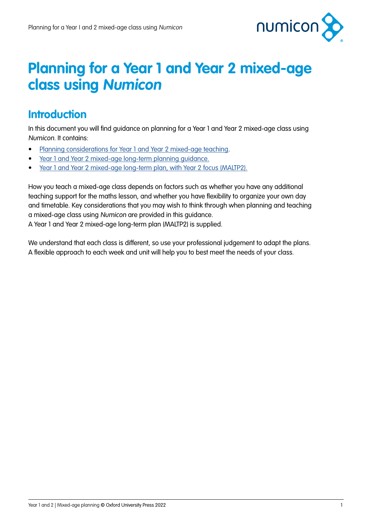

## **Planning for a Year 1 and Year 2 mixed-age class using Numicon**

#### **Introduction**

In this document you will find guidance on planning for a Year 1 and Year 2 mixed-age class using Numicon. It contains:

- [Planning considerations for Year 1 and Year 2 mixed-age teaching](#page-1-0).
- [Year 1 and Year 2 mixed-age long-term planning guidance.](#page-3-0)
- [Year 1 and Year 2 mixed-age long-term plan, with Year 2 focus \(MALTP2\).](#page-4-0)

How you teach a mixed-age class depends on factors such as whether you have any additional teaching support for the maths lesson, and whether you have flexibility to organize your own day and timetable. Key considerations that you may wish to think through when planning and teaching a mixed-age class using Numicon are provided in this guidance.

A Year 1 and Year 2 mixed-age long-term plan (MALTP2) is supplied.

We understand that each class is different, so use your professional judgement to adapt the plans. A flexible approach to each week and unit will help you to best meet the needs of your class.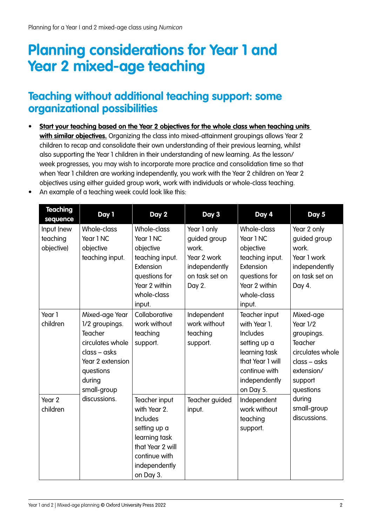# <span id="page-1-0"></span>**Planning considerations for Year 1 and Year 2 mixed-age teaching**

#### **Teaching without additional teaching support: some organizational possibilities**

- **• Start your teaching based on the Year 2 objectives for the whole class when teaching units with similar objectives.** Organizing the class into mixed-attainment groupings allows Year 2 children to recap and consolidate their own understanding of their previous learning, whilst also supporting the Year 1 children in their understanding of new learning. As the lesson/ week progresses, you may wish to incorporate more practice and consolidation time so that when Year 1 children are working independently, you work with the Year 2 children on Year 2 objectives using either guided group work, work with individuals or whole-class teaching.
	- **Teaching sequence Day 1 Day 2 Day 3 Day 4 Day 5** Input (new teaching objective) Whole-class Year 1 NC objective teaching input. Whole-class Year 1 NC objective teaching input. Extension questions for Year 2 within whole-class input. Year 1 only guided group work. Year 2 work independently on task set on Day 2. Whole-class Year 1 NC objective teaching input. **Extension** questions for Year 2 within whole-class input. Year 2 only guided group work. Year 1 work independently on task set on Day 4. Year 1 children Mixed-age Year 1/2 groupings. Teacher circulates whole class – asks Year 2 extension questions during small-group discussions. **Collaborative** work without teaching support. Independent work without teaching support. Teacher input with Year 1. Includes setting up a learning task that Year 1 will continue with independently on Day 5. Mixed-age Year 1/2 groupings. **Teacher** circulates whole class – asks extension/ support questions during small-group discussions. Year 2 children Teacher input with Year 2. Includes setting up a learning task that Year 2 will continue with independently on Day 3. Teacher guided input. Independent work without teaching support.
- An example of a teaching week could look like this: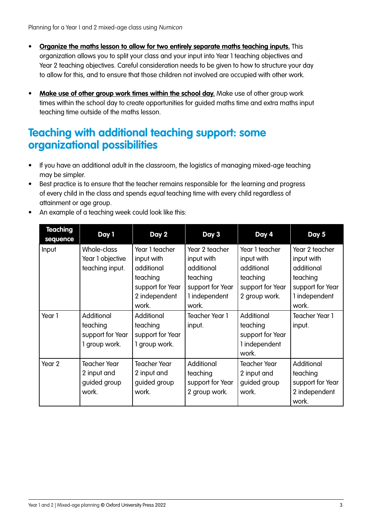- **• Organize the maths lesson to allow for two entirely separate maths teaching inputs.** This organization allows you to split your class and your input into Year 1 teaching objectives and Year 2 teaching objectives. Careful consideration needs to be given to how to structure your day to allow for this, and to ensure that those children not involved are occupied with other work.
- **• Make use of other group work times within the school day.** Make use of other group work times within the school day to create opportunities for guided maths time and extra maths input teaching time outside of the maths lesson.

#### **Teaching with additional teaching support: some organizational possibilities**

- If you have an additional adult in the classroom, the logistics of managing mixed-age teaching may be simpler.
- Best practice is to ensure that the teacher remains responsible for the learning and progress of every child in the class and spends equal teaching time with every child regardless of attainment or age group.
- An example of a teaching week could look like this:

| <b>Teaching</b><br>sequence | Day 1                                                       | Day 2                                                                                                | Day 3                                                                                                | Day 4                                                                                       | Day 5                                                                                                |
|-----------------------------|-------------------------------------------------------------|------------------------------------------------------------------------------------------------------|------------------------------------------------------------------------------------------------------|---------------------------------------------------------------------------------------------|------------------------------------------------------------------------------------------------------|
| Input                       | Whole-class<br>Year 1 objective<br>teaching input.          | Year 1 teacher<br>input with<br>additional<br>teaching<br>support for Year<br>2 independent<br>work. | Year 2 teacher<br>input with<br>additional<br>teaching<br>support for Year<br>1 independent<br>work. | Year 1 teacher<br>input with<br>additional<br>teaching<br>support for Year<br>2 group work. | Year 2 teacher<br>input with<br>additional<br>teaching<br>support for Year<br>1 independent<br>work. |
| Year 1                      | Additional<br>teaching<br>support for Year<br>1 group work. | Additional<br>teaching<br>support for Year<br>1 group work.                                          | <b>Teacher Year 1</b><br>input.                                                                      | Additional<br>teaching<br>support for Year<br>1 independent<br>work.                        | Teacher Year 1<br>input.                                                                             |
| Year 2                      | <b>Teacher Year</b><br>2 input and<br>guided group<br>work. | Teacher Year<br>2 input and<br>guided group<br>work.                                                 | Additional<br>teaching<br>support for Year<br>2 group work.                                          | <b>Teacher Year</b><br>2 input and<br>guided group<br>work.                                 | Additional<br>teaching<br>support for Year<br>2 independent<br>work.                                 |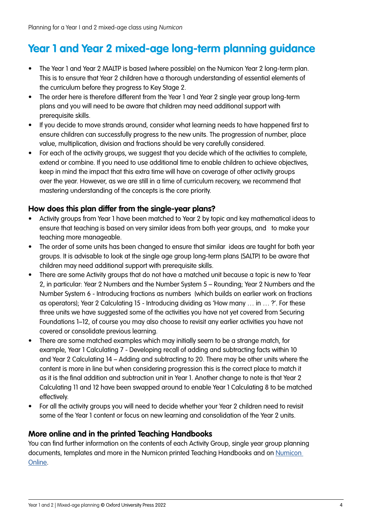## <span id="page-3-0"></span>**Year 1 and Year 2 mixed-age long-term planning guidance**

- The Year 1 and Year 2 MALTP is based (where possible) on the Numicon Year 2 long-term plan. This is to ensure that Year 2 children have a thorough understanding of essential elements of the curriculum before they progress to Key Stage 2.
- The order here is therefore different from the Year 1 and Year 2 single year group long-term plans and you will need to be aware that children may need additional support with prerequisite skills.
- If you decide to move strands around, consider what learning needs to have happened first to ensure children can successfully progress to the new units. The progression of number, place value, multiplication, division and fractions should be very carefully considered.
- For each of the activity groups, we suggest that you decide which of the activities to complete, extend or combine. If you need to use additional time to enable children to achieve objectives, keep in mind the impact that this extra time will have on coverage of other activity groups over the year. However, as we are still in a time of curriculum recovery, we recommend that mastering understanding of the concepts is the core priority.

#### **How does this plan differ from the single-year plans?**

- Activity groups from Year 1 have been matched to Year 2 by topic and key mathematical ideas to ensure that teaching is based on very similar ideas from both year groups, and to make your teaching more manageable.
- The order of some units has been changed to ensure that similar ideas are taught for both year groups. It is advisable to look at the single age group long-term plans (SALTP) to be aware that children may need additional support with prerequisite skills.
- There are some Activity groups that do not have a matched unit because a topic is new to Year 2, in particular: Year 2 Numbers and the Number System 5 – Rounding; Year 2 Numbers and the Number System 6 - Introducing fractions as numbers (which builds on earlier work on fractions as operators); Year 2 Calculating 15 - Introducing dividing as 'How many … in … ?'. For these three units we have suggested some of the activities you have not yet covered from Securing Foundations 1–12, of course you may also choose to revisit any earlier activities you have not covered or consolidate previous learning.
- There are some matched examples which may initially seem to be a strange match, for example, Year 1 Calculating 7 - Developing recall of adding and subtracting facts within 10 and Year 2 Calculating 14 – Adding and subtracting to 20. There may be other units where the content is more in line but when considering progression this is the correct place to match it as it is the final addition and subtraction unit in Year 1. Another change to note is that Year 2 Calculating 11 and 12 have been swapped around to enable Year 1 Calculating 8 to be matched effectively.
- For all the activity groups you will need to decide whether your Year 2 children need to revisit some of the Year 1 content or focus on new learning and consolidation of the Year 2 units.

#### **More online and in the printed Teaching Handbooks**

You can find further information on the contents of each Activity Group, single year group planning documents, templates and more in the Numicon printed Teaching Handbooks and on [Numicon](https://www.oxfordowl.co.uk/login?active-tab=teachers)  [Online.](https://www.oxfordowl.co.uk/login?active-tab=teachers)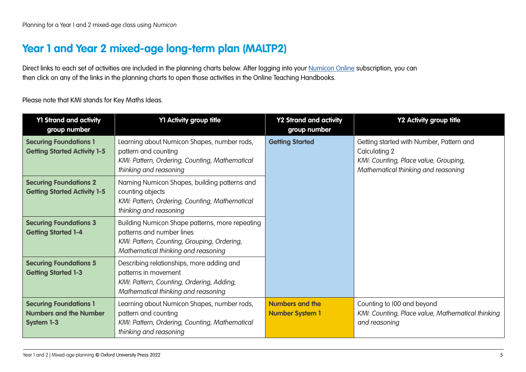### <span id="page-4-0"></span>**Year 1 and Year 2 mixed-age long-term plan (MALTP2)**

Direct links to each set of activities are included in the planning charts below. After logging into your [Numicon Online](https://www.oxfordowl.co.uk/login?active-tab=teachers) subscription, you can then click on any of the links in the planning charts to open those activities in the Online Teaching Handbooks.

Please note that KMI stands for Key Maths Ideas.

| <b>Y1 Strand and activity</b><br>group number                                       | Y1 Activity group title                                                                                                                                            | <b>Y2 Strand and activity</b><br>group number    | Y2 Activity group title                                                                                                                   |
|-------------------------------------------------------------------------------------|--------------------------------------------------------------------------------------------------------------------------------------------------------------------|--------------------------------------------------|-------------------------------------------------------------------------------------------------------------------------------------------|
| <b>Securing Foundations 1</b><br><b>Getting Started Activity 1-5</b>                | Learning about Numicon Shapes, number rods,<br>pattern and counting<br>KMI: Pattern, Ordering, Counting, Mathematical<br>thinking and reasoning                    | <b>Getting Started</b>                           | Getting started with Number, Pattern and<br>Calculating 2<br>KMI: Counting, Place value, Grouping,<br>Mathematical thinking and reasoning |
| <b>Securing Foundations 2</b><br><b>Getting Started Activity 1-5</b>                | Naming Numicon Shapes, building patterns and<br>counting objects<br>KMI: Pattern, Ordering, Counting, Mathematical<br>thinking and reasoning                       |                                                  |                                                                                                                                           |
| <b>Securing Foundations 3</b><br><b>Getting Started 1-4</b>                         | Building Numicon Shape patterns, more repeating<br>patterns and number lines<br>KMI: Pattern, Counting, Grouping, Ordering,<br>Mathematical thinking and reasoning |                                                  |                                                                                                                                           |
| <b>Securing Foundations 5</b><br><b>Getting Started 1-3</b>                         | Describing relationships, more adding and<br>patterns in movement<br>KMI: Pattern, Counting, Ordering, Adding,<br>Mathematical thinking and reasoning              |                                                  |                                                                                                                                           |
| <b>Securing Foundations 1</b><br><b>Numbers and the Number</b><br><b>System 1-3</b> | Learning about Numicon Shapes, number rods,<br>pattern and counting<br>KMI: Pattern, Ordering, Counting, Mathematical<br>thinking and reasoning                    | <b>Numbers and the</b><br><b>Number System 1</b> | Counting to 100 and beyond<br>KMI: Counting, Place value, Mathematical thinking<br>and reasoning                                          |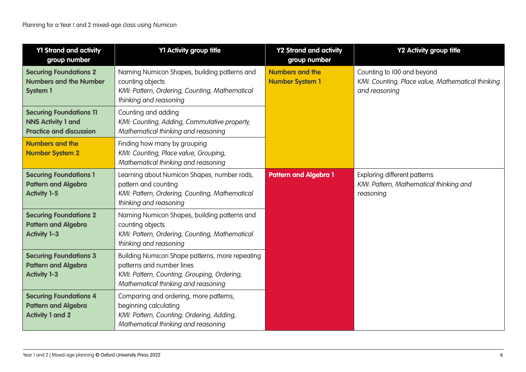| <b>Y1 Strand and activity</b><br>group number                                                 | Y1 Activity group title                                                                                                                                            | <b>Y2 Strand and activity</b><br>group number    | Y2 Activity group title                                                                          |
|-----------------------------------------------------------------------------------------------|--------------------------------------------------------------------------------------------------------------------------------------------------------------------|--------------------------------------------------|--------------------------------------------------------------------------------------------------|
| <b>Securing Foundations 2</b><br><b>Numbers and the Number</b><br><b>System 1</b>             | Naming Numicon Shapes, building patterns and<br>counting objects<br>KMI: Pattern, Ordering, Counting, Mathematical<br>thinking and reasoning                       | <b>Numbers and the</b><br><b>Number System 1</b> | Counting to 100 and beyond<br>KMI: Counting, Place value, Mathematical thinking<br>and reasoning |
| <b>Securing Foundations 11</b><br><b>NNS Activity 1 and</b><br><b>Practice and discussion</b> | Counting and adding<br>KMI: Counting, Adding, Commutative property,<br>Mathematical thinking and reasoning                                                         |                                                  |                                                                                                  |
| <b>Numbers and the</b><br><b>Number System 2</b>                                              | Finding how many by grouping<br>KMI: Counting, Place value, Grouping,<br>Mathematical thinking and reasoning                                                       |                                                  |                                                                                                  |
| <b>Securing Foundations 1</b><br><b>Pattern and Algebra</b><br><b>Activity 1-5</b>            | Learning about Numicon Shapes, number rods,<br>pattern and counting<br>KMI: Pattern, Ordering, Counting, Mathematical<br>thinking and reasoning                    | <b>Pattern and Algebra 1</b>                     | Exploring different patterns<br>KMI: Pattern, Mathematical thinking and<br>reasoning             |
| <b>Securing Foundations 2</b><br><b>Pattern and Algebra</b><br><b>Activity 1-3</b>            | Naming Numicon Shapes, building patterns and<br>counting objects<br>KMI: Pattern, Ordering, Counting, Mathematical<br>thinking and reasoning                       |                                                  |                                                                                                  |
| <b>Securing Foundations 3</b><br><b>Pattern and Algebra</b><br><b>Activity 1-3</b>            | Building Numicon Shape patterns, more repeating<br>patterns and number lines<br>KMI: Pattern, Counting, Grouping, Ordering,<br>Mathematical thinking and reasoning |                                                  |                                                                                                  |
| <b>Securing Foundations 4</b><br><b>Pattern and Algebra</b><br><b>Activity 1 and 2</b>        | Comparing and ordering, more patterns,<br>beginning calculating<br>KMI: Pattern, Counting, Ordering, Adding,<br>Mathematical thinking and reasoning                |                                                  |                                                                                                  |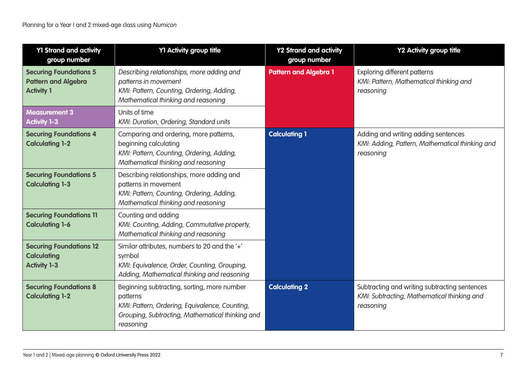| <b>Y1 Strand and activity</b><br>group number                                    | Y1 Activity group title                                                                                                                                                    | <b>Y2 Strand and activity</b><br>group number | Y2 Activity group title                                                                                   |
|----------------------------------------------------------------------------------|----------------------------------------------------------------------------------------------------------------------------------------------------------------------------|-----------------------------------------------|-----------------------------------------------------------------------------------------------------------|
| <b>Securing Foundations 5</b><br><b>Pattern and Algebra</b><br><b>Activity 1</b> | Describing relationships, more adding and<br>patterns in movement<br>KMI: Pattern, Counting, Ordering, Adding,<br>Mathematical thinking and reasoning                      | <b>Pattern and Algebra 1</b>                  | Exploring different patterns<br>KMI: Pattern, Mathematical thinking and<br>reasoning                      |
| <b>Measurement 3</b><br><b>Activity 1-3</b>                                      | Units of time<br>KMI: Duration, Ordering, Standard units                                                                                                                   |                                               |                                                                                                           |
| <b>Securing Foundations 4</b><br><b>Calculating 1-2</b>                          | Comparing and ordering, more patterns,<br>beginning calculating<br>KMI: Pattern, Counting, Ordering, Adding,<br>Mathematical thinking and reasoning                        | <b>Calculating 1</b>                          | Adding and writing adding sentences<br>KMI: Adding, Pattern, Mathematical thinking and<br>reasoning       |
| <b>Securing Foundations 5</b><br><b>Calculating 1-3</b>                          | Describing relationships, more adding and<br>patterns in movement<br>KMI: Pattern, Counting, Ordering, Adding,<br>Mathematical thinking and reasoning                      |                                               |                                                                                                           |
| <b>Securing Foundations 11</b><br><b>Calculating 1-6</b>                         | Counting and adding<br>KMI: Counting, Adding, Commutative property,<br>Mathematical thinking and reasoning                                                                 |                                               |                                                                                                           |
| <b>Securing Foundations 12</b><br><b>Calculating</b><br><b>Activity 1-3</b>      | Similar attributes, numbers to 20 and the '+'<br>symbol<br>KMI: Equivalence, Order, Counting, Grouping,<br>Adding, Mathematical thinking and reasoning                     |                                               |                                                                                                           |
| <b>Securing Foundations 8</b><br><b>Calculating 1-2</b>                          | Beginning subtracting, sorting, more number<br>patterns<br>KMI: Pattern, Ordering, Equivalence, Counting,<br>Grouping, Subtracting, Mathematical thinking and<br>reasoning | <b>Calculating 2</b>                          | Subtracting and writing subtracting sentences<br>KMI: Subtracting, Mathematical thinking and<br>reasoning |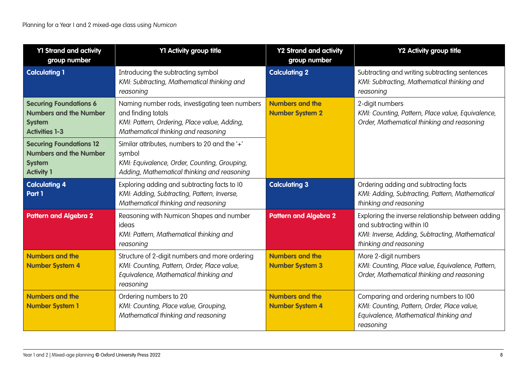| <b>Y1 Strand and activity</b><br>group number                                                            | Y1 Activity group title                                                                                                                                     | <b>Y2 Strand and activity</b><br>group number    | Y2 Activity group title                                                                                                                                     |
|----------------------------------------------------------------------------------------------------------|-------------------------------------------------------------------------------------------------------------------------------------------------------------|--------------------------------------------------|-------------------------------------------------------------------------------------------------------------------------------------------------------------|
| <b>Calculating 1</b>                                                                                     | Introducing the subtracting symbol<br>KMI: Subtracting, Mathematical thinking and<br>reasoning                                                              | <b>Calculating 2</b>                             | Subtracting and writing subtracting sentences<br>KMI: Subtracting, Mathematical thinking and<br>reasoning                                                   |
| <b>Securing Foundations 6</b><br><b>Numbers and the Number</b><br><b>System</b><br><b>Activities 1-3</b> | Naming number rods, investigating teen numbers<br>and finding totals<br>KMI: Pattern, Ordering, Place value, Adding,<br>Mathematical thinking and reasoning | <b>Numbers and the</b><br><b>Number System 2</b> | 2-digit numbers<br>KMI: Counting, Pattern, Place value, Equivalence,<br>Order, Mathematical thinking and reasoning                                          |
| <b>Securing Foundations 12</b><br><b>Numbers and the Number</b><br><b>System</b><br><b>Activity 1</b>    | Similar attributes, numbers to 20 and the '+'<br>symbol<br>KMI: Equivalence, Order, Counting, Grouping,<br>Adding, Mathematical thinking and reasoning      |                                                  |                                                                                                                                                             |
| <b>Calculating 4</b><br>Part 1                                                                           | Exploring adding and subtracting facts to 10<br>KMI: Adding, Subtracting, Pattern, Inverse,<br>Mathematical thinking and reasoning                          | <b>Calculating 3</b>                             | Ordering adding and subtracting facts<br>KMI: Adding, Subtracting, Pattern, Mathematical<br>thinking and reasoning                                          |
| <b>Pattern and Algebra 2</b>                                                                             | Reasoning with Numicon Shapes and number<br>ideas<br>KMI: Pattern, Mathematical thinking and<br>reasoning                                                   | <b>Pattern and Algebra 2</b>                     | Exploring the inverse relationship between adding<br>and subtracting within I0<br>KMI: Inverse, Adding, Subtracting, Mathematical<br>thinking and reasoning |
| <b>Numbers and the</b><br><b>Number System 4</b>                                                         | Structure of 2-digit numbers and more ordering<br>KMI: Counting, Pattern, Order, Place value,<br>Equivalence, Mathematical thinking and<br>reasoning        | <b>Numbers and the</b><br><b>Number System 3</b> | More 2-digit numbers<br>KMI: Counting, Place value, Equivalence, Pattern,<br>Order, Mathematical thinking and reasoning                                     |
| <b>Numbers and the</b><br><b>Number System 1</b>                                                         | Ordering numbers to 20<br>KMI: Counting, Place value, Grouping,<br>Mathematical thinking and reasoning                                                      | <b>Numbers and the</b><br><b>Number System 4</b> | Comparing and ordering numbers to I00<br>KMI: Counting, Pattern, Order, Place value,<br>Equivalence, Mathematical thinking and<br>reasoning                 |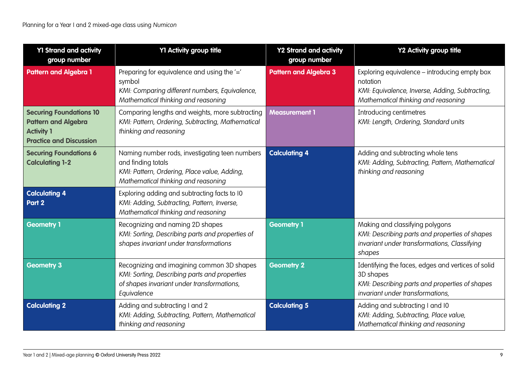| <b>Y1 Strand and activity</b><br>group number                                                                       | Y1 Activity group title                                                                                                                                     | <b>Y2 Strand and activity</b><br>group number | Y2 Activity group title                                                                                                                               |
|---------------------------------------------------------------------------------------------------------------------|-------------------------------------------------------------------------------------------------------------------------------------------------------------|-----------------------------------------------|-------------------------------------------------------------------------------------------------------------------------------------------------------|
| <b>Pattern and Algebra 1</b>                                                                                        | Preparing for equivalence and using the '='<br>symbol<br>KMI: Comparing different numbers, Equivalence,<br>Mathematical thinking and reasoning              | <b>Pattern and Algebra 3</b>                  | Exploring equivalence - introducing empty box<br>notation<br>KMI: Equivalence, Inverse, Adding, Subtracting,<br>Mathematical thinking and reasoning   |
| <b>Securing Foundations 10</b><br><b>Pattern and Algebra</b><br><b>Activity 1</b><br><b>Practice and Discussion</b> | Comparing lengths and weights, more subtracting<br>KMI: Pattern, Ordering, Subtracting, Mathematical<br>thinking and reasoning                              | <b>Measurement 1</b>                          | Introducing centimetres<br>KMI: Length, Ordering, Standard units                                                                                      |
| <b>Securing Foundations 6</b><br><b>Calculating 1-2</b>                                                             | Naming number rods, investigating teen numbers<br>and finding totals<br>KMI: Pattern, Ordering, Place value, Adding,<br>Mathematical thinking and reasoning | <b>Calculating 4</b>                          | Adding and subtracting whole tens<br>KMI: Adding, Subtracting, Pattern, Mathematical<br>thinking and reasoning                                        |
| <b>Calculating 4</b><br>Part 2                                                                                      | Exploring adding and subtracting facts to I0<br>KMI: Adding, Subtracting, Pattern, Inverse,<br>Mathematical thinking and reasoning                          |                                               |                                                                                                                                                       |
| <b>Geometry 1</b>                                                                                                   | Recognizing and naming 2D shapes<br>KMI: Sorting, Describing parts and properties of<br>shapes invariant under transformations                              | <b>Geometry 1</b>                             | Making and classifying polygons<br>KMI: Describing parts and properties of shapes<br>invariant under transformations, Classifying<br>shapes           |
| <b>Geometry 3</b>                                                                                                   | Recognizing and imagining common 3D shapes<br>KMI: Sorting, Describing parts and properties<br>of shapes invariant under transformations,<br>Equivalence    | <b>Geometry 2</b>                             | Identifying the faces, edges and vertices of solid<br>3D shapes<br>KMI: Describing parts and properties of shapes<br>invariant under transformations, |
| <b>Calculating 2</b>                                                                                                | Adding and subtracting I and 2<br>KMI: Adding, Subtracting, Pattern, Mathematical<br>thinking and reasoning                                                 | <b>Calculating 5</b>                          | Adding and subtracting I and I0<br>KMI: Adding, Subtracting, Place value,<br>Mathematical thinking and reasoning                                      |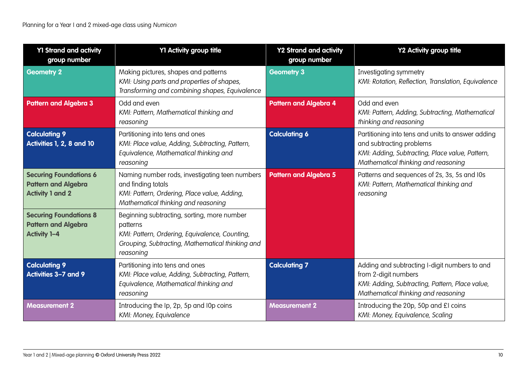| <b>Y1 Strand and activity</b><br>group number                                          | Y1 Activity group title                                                                                                                                                    | <b>Y2 Strand and activity</b><br>group number | <b>Y2 Activity group title</b>                                                                                                                                          |
|----------------------------------------------------------------------------------------|----------------------------------------------------------------------------------------------------------------------------------------------------------------------------|-----------------------------------------------|-------------------------------------------------------------------------------------------------------------------------------------------------------------------------|
| <b>Geometry 2</b>                                                                      | Making pictures, shapes and patterns<br>KMI: Using parts and properties of shapes,<br>Transforming and combining shapes, Equivalence                                       | <b>Geometry 3</b>                             | Investigating symmetry<br>KMI: Rotation, Reflection, Translation, Equivalence                                                                                           |
| <b>Pattern and Algebra 3</b>                                                           | Odd and even<br>KMI: Pattern, Mathematical thinking and<br>reasoning                                                                                                       | <b>Pattern and Algebra 4</b>                  | Odd and even<br>KMI: Pattern, Adding, Subtracting, Mathematical<br>thinking and reasoning                                                                               |
| <b>Calculating 9</b><br>Activities 1, 2, 8 and 10                                      | Partitioning into tens and ones<br>KMI: Place value, Adding, Subtracting, Pattern,<br>Equivalence, Mathematical thinking and<br>reasoning                                  | <b>Calculating 6</b>                          | Partitioning into tens and units to answer adding<br>and subtracting problems<br>KMI: Adding, Subtracting, Place value, Pattern,<br>Mathematical thinking and reasoning |
| <b>Securing Foundations 6</b><br><b>Pattern and Algebra</b><br><b>Activity 1 and 2</b> | Naming number rods, investigating teen numbers<br>and finding totals<br>KMI: Pattern, Ordering, Place value, Adding,<br>Mathematical thinking and reasoning                | <b>Pattern and Algebra 5</b>                  | Patterns and sequences of 2s, 3s, 5s and I0s<br>KMI: Pattern, Mathematical thinking and<br>reasoning                                                                    |
| <b>Securing Foundations 8</b><br><b>Pattern and Algebra</b><br><b>Activity 1-4</b>     | Beginning subtracting, sorting, more number<br>patterns<br>KMI: Pattern, Ordering, Equivalence, Counting,<br>Grouping, Subtracting, Mathematical thinking and<br>reasoning |                                               |                                                                                                                                                                         |
| <b>Calculating 9</b><br>Activities 3-7 and 9                                           | Partitioning into tens and ones<br>KMI: Place value, Adding, Subtracting, Pattern,<br>Equivalence, Mathematical thinking and<br>reasoning                                  | <b>Calculating 7</b>                          | Adding and subtracting I-digit numbers to and<br>from 2-digit numbers<br>KMI: Adding, Subtracting, Pattern, Place value,<br>Mathematical thinking and reasoning         |
| <b>Measurement 2</b>                                                                   | Introducing the Ip, 2p, 5p and I0p coins<br>KMI: Money, Equivalence                                                                                                        | <b>Measurement 2</b>                          | Introducing the 20p, 50p and £I coins<br>KMI: Money, Equivalence, Scaling                                                                                               |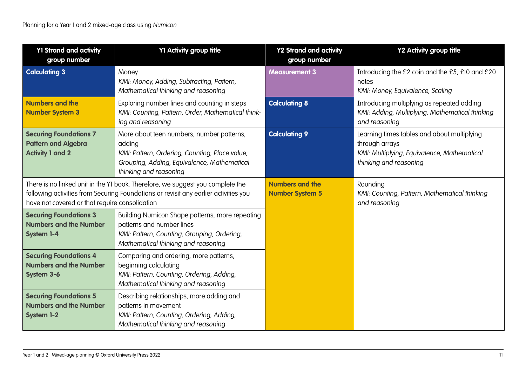| <b>Y1 Strand and activity</b><br>group number                                                                                                                                                                            | Y1 Activity group title                                                                                                                                                        | <b>Y2 Strand and activity</b><br>group number    | <b>Y2 Activity group title</b>                                                                                                         |
|--------------------------------------------------------------------------------------------------------------------------------------------------------------------------------------------------------------------------|--------------------------------------------------------------------------------------------------------------------------------------------------------------------------------|--------------------------------------------------|----------------------------------------------------------------------------------------------------------------------------------------|
| <b>Calculating 3</b>                                                                                                                                                                                                     | Money<br>KMI: Money, Adding, Subtracting, Pattern,<br>Mathematical thinking and reasoning                                                                                      | <b>Measurement 3</b>                             | Introducing the £2 coin and the £5, £10 and £20<br>notes<br>KMI: Money, Equivalence, Scaling                                           |
| <b>Numbers and the</b><br><b>Number System 3</b>                                                                                                                                                                         | Exploring number lines and counting in steps<br>KMI: Counting, Pattern, Order, Mathematical think-<br>ing and reasoning                                                        | <b>Calculating 8</b>                             | Introducing multiplying as repeated adding<br>KMI: Adding, Multiplying, Mathematical thinking<br>and reasoning                         |
| <b>Securing Foundations 7</b><br><b>Pattern and Algebra</b><br><b>Activity 1 and 2</b>                                                                                                                                   | More about teen numbers, number patterns,<br>adding<br>KMI: Pattern, Ordering, Counting, Place value,<br>Grouping, Adding, Equivalence, Mathematical<br>thinking and reasoning | <b>Calculating 9</b>                             | Learning times tables and about multiplying<br>through arrays<br>KMI: Multiplying, Equivalence, Mathematical<br>thinking and reasoning |
| There is no linked unit in the Y1 book. Therefore, we suggest you complete the<br>following activities from Securing Foundations or revisit any earlier activities you<br>have not covered or that require consolidation |                                                                                                                                                                                | <b>Numbers and the</b><br><b>Number System 5</b> | Rounding<br>KMI: Counting, Pattern, Mathematical thinking<br>and reasoning                                                             |
| <b>Securing Foundations 3</b><br><b>Numbers and the Number</b><br><b>System 1-4</b>                                                                                                                                      | Building Numicon Shape patterns, more repeating<br>patterns and number lines<br>KMI: Pattern, Counting, Grouping, Ordering,<br>Mathematical thinking and reasoning             |                                                  |                                                                                                                                        |
| <b>Securing Foundations 4</b><br><b>Numbers and the Number</b><br>System 3-6                                                                                                                                             | Comparing and ordering, more patterns,<br>beginning calculating<br>KMI: Pattern, Counting, Ordering, Adding,<br>Mathematical thinking and reasoning                            |                                                  |                                                                                                                                        |
| <b>Securing Foundations 5</b><br><b>Numbers and the Number</b><br><b>System 1-2</b>                                                                                                                                      | Describing relationships, more adding and<br>patterns in movement<br>KMI: Pattern, Counting, Ordering, Adding,<br>Mathematical thinking and reasoning                          |                                                  |                                                                                                                                        |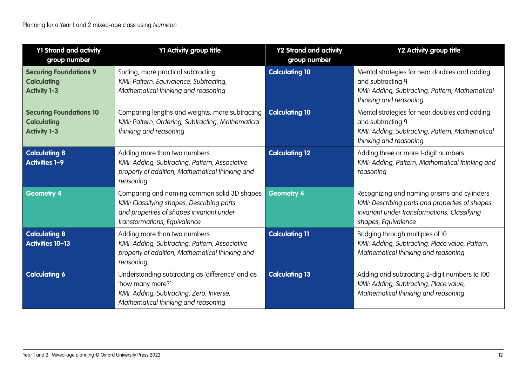| <b>Y1 Strand and activity</b><br>group number                               | Y1 Activity group title                                                                                                                                              | <b>Y2 Strand and activity</b><br>group number | Y2 Activity group title                                                                                                                                              |
|-----------------------------------------------------------------------------|----------------------------------------------------------------------------------------------------------------------------------------------------------------------|-----------------------------------------------|----------------------------------------------------------------------------------------------------------------------------------------------------------------------|
| <b>Securing Foundations 9</b><br><b>Calculating</b><br><b>Activity 1-3</b>  | Sorting, more practical subtracting<br>KMI: Pattern, Equivalence, Subtracting,<br>Mathematical thinking and reasoning                                                | <b>Calculating 10</b>                         | Mental strategies for near doubles and adding<br>and subtracting 9<br>KMI: Adding, Subtracting, Pattern, Mathematical<br>thinking and reasoning                      |
| <b>Securing Foundations 10</b><br><b>Calculating</b><br><b>Activity 1-3</b> | Comparing lengths and weights, more subtracting<br>KMI: Pattern, Ordering, Subtracting, Mathematical<br>thinking and reasoning                                       | <b>Calculating 10</b>                         | Mental strategies for near doubles and adding<br>and subtracting 9<br>KMI: Adding, Subtracting, Pattern, Mathematical<br>thinking and reasoning                      |
| <b>Calculating 8</b><br><b>Activities 1-9</b>                               | Adding more than two numbers<br>KMI: Adding, Subtracting, Pattern, Associative<br>property of addition, Mathematical thinking and<br>reasoning                       | <b>Calculating 12</b>                         | Adding three or more I-digit numbers<br>KMI: Adding, Pattern, Mathematical thinking and<br>reasoning                                                                 |
| <b>Geometry 4</b>                                                           | Comparing and naming common solid 3D shapes<br>KMI: Classifying shapes, Describing parts<br>and properties of shapes invariant under<br>transformations, Equivalence | <b>Geometry 4</b>                             | Recognizing and naming prisms and cylinders<br>KMI: Describing parts and properties of shapes<br>invariant under transformations, Classifying<br>shapes, Equivalence |
| <b>Calculating 8</b><br><b>Activities 10-13</b>                             | Adding more than two numbers<br>KMI: Adding, Subtracting, Pattern, Associative<br>property of addition, Mathematical thinking and<br>reasoning                       | <b>Calculating 11</b>                         | Bridging through multiples of I0<br>KMI: Adding, Subtracting, Place value, Pattern,<br>Mathematical thinking and reasoning                                           |
| <b>Calculating 6</b>                                                        | Understanding subtracting as 'difference' and as<br>'how many more?'<br>KMI: Adding, Subtracting, Zero, Inverse,<br>Mathematical thinking and reasoning              | <b>Calculating 13</b>                         | Adding and subtracting 2-digit numbers to 100<br>KMI: Adding, Subtracting, Place value,<br>Mathematical thinking and reasoning                                       |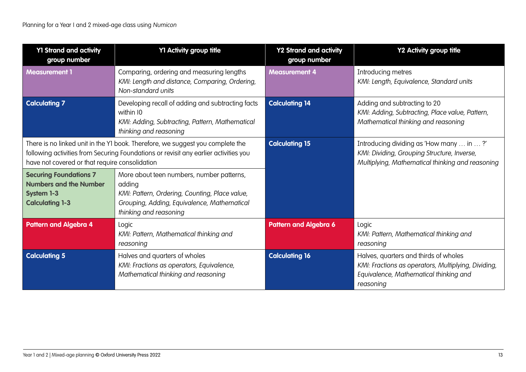| <b>Y1 Strand and activity</b><br>group number                                                                                                                                                                            | Y1 Activity group title                                                                                                                                                        | <b>Y2 Strand and activity</b><br>group number | Y2 Activity group title                                                                                                                             |
|--------------------------------------------------------------------------------------------------------------------------------------------------------------------------------------------------------------------------|--------------------------------------------------------------------------------------------------------------------------------------------------------------------------------|-----------------------------------------------|-----------------------------------------------------------------------------------------------------------------------------------------------------|
| <b>Measurement 1</b>                                                                                                                                                                                                     | Comparing, ordering and measuring lengths<br>KMI: Length and distance, Comparing, Ordering,<br>Non-standard units                                                              | <b>Measurement 4</b>                          | Introducing metres<br>KMI: Length, Equivalence, Standard units                                                                                      |
| <b>Calculating 7</b>                                                                                                                                                                                                     | Developing recall of adding and subtracting facts<br>within 10<br>KMI: Adding, Subtracting, Pattern, Mathematical<br>thinking and reasoning                                    | <b>Calculating 14</b>                         | Adding and subtracting to 20<br>KMI: Adding, Subtracting, Place value, Pattern,<br>Mathematical thinking and reasoning                              |
| There is no linked unit in the Y1 book. Therefore, we suggest you complete the<br>following activities from Securing Foundations or revisit any earlier activities you<br>have not covered or that require consolidation |                                                                                                                                                                                | <b>Calculating 15</b>                         | Introducing dividing as 'How many  in ?'<br>KMI: Dividing, Grouping Structure, Inverse,<br>Multiplying, Mathematical thinking and reasoning         |
| <b>Securing Foundations 7</b><br><b>Numbers and the Number</b><br><b>System 1-3</b><br><b>Calculating 1-3</b>                                                                                                            | More about teen numbers, number patterns,<br>adding<br>KMI: Pattern, Ordering, Counting, Place value,<br>Grouping, Adding, Equivalence, Mathematical<br>thinking and reasoning |                                               |                                                                                                                                                     |
| <b>Pattern and Algebra 4</b>                                                                                                                                                                                             | Logic<br>KMI: Pattern, Mathematical thinking and<br>reasoning                                                                                                                  | <b>Pattern and Algebra 6</b>                  | Logic<br>KMI: Pattern, Mathematical thinking and<br>reasoning                                                                                       |
| <b>Calculating 5</b>                                                                                                                                                                                                     | Halves and quarters of wholes<br>KMI: Fractions as operators, Equivalence,<br>Mathematical thinking and reasoning                                                              | <b>Calculating 16</b>                         | Halves, quarters and thirds of wholes<br>KMI: Fractions as operators, Multiplying, Dividing,<br>Equivalence, Mathematical thinking and<br>reasoning |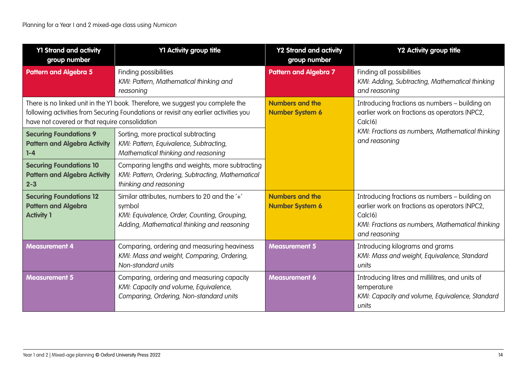| <b>Y1 Strand and activity</b><br>group number                                     | Y1 Activity group title                                                                                                                                                | <b>Y2 Strand and activity</b><br>group number    | Y2 Activity group title                                                                                                                                                                      |
|-----------------------------------------------------------------------------------|------------------------------------------------------------------------------------------------------------------------------------------------------------------------|--------------------------------------------------|----------------------------------------------------------------------------------------------------------------------------------------------------------------------------------------------|
| <b>Pattern and Algebra 5</b>                                                      | Finding possibilities<br>KMI: Pattern, Mathematical thinking and<br>reasoning                                                                                          | <b>Pattern and Algebra 7</b>                     | Finding all possibilities<br>KMI: Adding, Subtracting, Mathematical thinking<br>and reasoning                                                                                                |
| have not covered or that require consolidation                                    | There is no linked unit in the Y1 book. Therefore, we suggest you complete the<br>following activities from Securing Foundations or revisit any earlier activities you | <b>Numbers and the</b><br><b>Number System 6</b> | Introducing fractions as numbers - building on<br>earlier work on fractions as operators (NPC2,<br>Calc <sub>16</sub> )                                                                      |
| <b>Securing Foundations 9</b><br><b>Pattern and Algebra Activity</b><br>$1-4$     | Sorting, more practical subtracting<br>KMI: Pattern, Equivalence, Subtracting,<br>Mathematical thinking and reasoning                                                  |                                                  | KMI: Fractions as numbers, Mathematical thinking<br>and reasoning                                                                                                                            |
| <b>Securing Foundations 10</b><br><b>Pattern and Algebra Activity</b><br>$2 - 3$  | Comparing lengths and weights, more subtracting<br>KMI: Pattern, Ordering, Subtracting, Mathematical<br>thinking and reasoning                                         |                                                  |                                                                                                                                                                                              |
| <b>Securing Foundations 12</b><br><b>Pattern and Algebra</b><br><b>Activity 1</b> | Similar attributes, numbers to 20 and the '+'<br>symbol<br>KMI: Equivalence, Order, Counting, Grouping,<br>Adding, Mathematical thinking and reasoning                 | <b>Numbers and the</b><br><b>Number System 6</b> | Introducing fractions as numbers - building on<br>earlier work on fractions as operators (NPC2,<br>Calc <sub>16</sub> )<br>KMI: Fractions as numbers, Mathematical thinking<br>and reasoning |
| <b>Measurement 4</b>                                                              | Comparing, ordering and measuring heaviness<br>KMI: Mass and weight, Comparing, Ordering,<br>Non-standard units                                                        | <b>Measurement 5</b>                             | Introducing kilograms and grams<br>KMI: Mass and weight, Equivalence, Standard<br>units                                                                                                      |
| <b>Measurement 5</b>                                                              | Comparing, ordering and measuring capacity<br>KMI: Capacity and volume, Equivalence,<br>Comparing, Ordering, Non-standard units                                        | <b>Measurement 6</b>                             | Introducing litres and millilitres, and units of<br>temperature<br>KMI: Capacity and volume, Equivalence, Standard<br>units                                                                  |